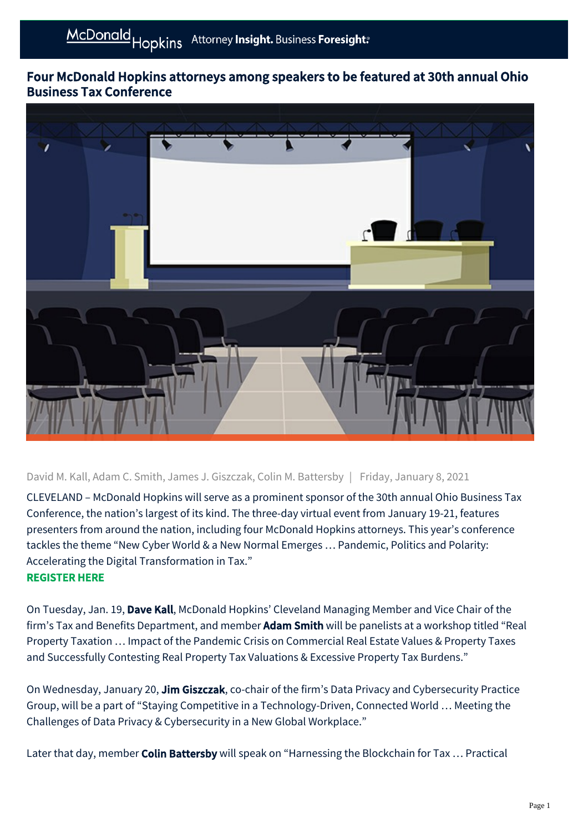## Four McDonald Hopkins attorneys among speakers to be featured at 30th annual Ohio Business Tax Conference



David M. Kall, Adam C. Smith, James J. Giszczak, Colin M. Battersby | Friday, January 8, 2021

CLEVELAND – McDonald Hopkins will serve as a prominent sponsor of the 30th annual Ohio Business Tax Conference, the nation's largest of its kind. The three-day virtual event from January 19-21, features presenters from around the nation, including four McDonald Hopkins attorneys. This year's conference tackles the theme "New Cyber World & a New Normal Emerges … Pandemic, Politics and Polarity: Accelerating the Digital Transformation in Tax." [REGISTER HERE](https://mecseminars.com/taxation-and-business/30th-annual-ohio-business-tax-conference-virtual-institute)

On Tuesday, Jan. 19, Dave Kall, McDonald Hopkins' Cleveland Managing Member and Vice Chair of the firm's Tax and Benefits Department, and member **Adam Smith** will be panelists at a workshop titled "Real Property Taxation … Impact of the Pandemic Crisis on Commercial Real Estate Values & Property Taxes and Successfully Contesting Real Property Tax Valuations & Excessive Property Tax Burdens."

On Wednesday, January 20, Jim Giszczak, co-chair of the firm's Data Privacy and Cybersecurity Practice Group, will be a part of "Staying Competitive in a Technology-Driven, Connected World … Meeting the Challenges of Data Privacy & Cybersecurity in a New Global Workplace."

Later that day, member Colin Battersby will speak on "Harnessing the Blockchain for Tax ... Practical